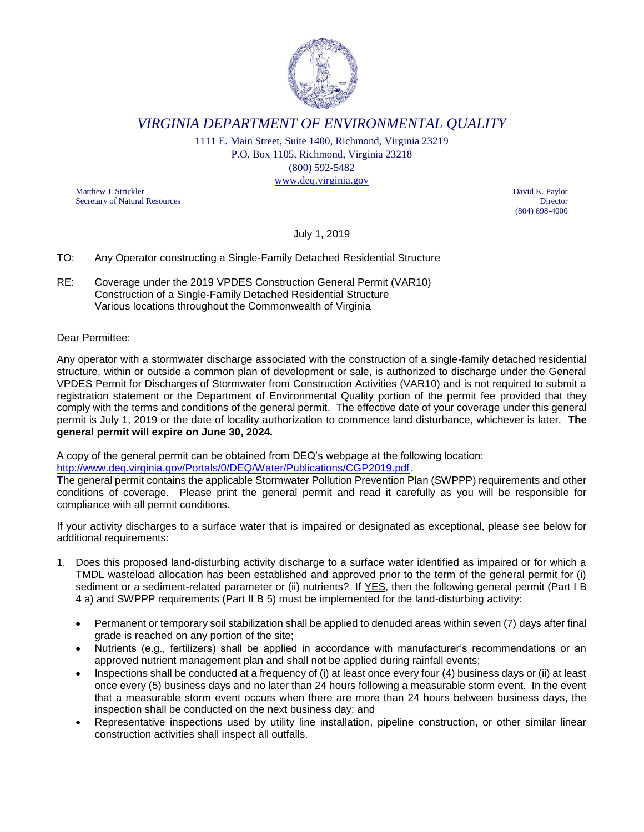

*VIRGINIA DEPARTMENT OF ENVIRONMENTAL QUALITY*

1111 E. Main Street, Suite 1400, Richmond, Virginia 23219 P.O. Box 1105, Richmond, Virginia 23218 (800) 592-5482 [www.deq.virginia.gov](http://www.deq.virginia.gov/)

Matthew J. Strickler David K. Paylor Secretary of Natural Resources Director

(804) 698-4000

July 1, 2019

## TO: Any Operator constructing a Single-Family Detached Residential Structure

RE: Coverage under the 2019 VPDES Construction General Permit (VAR10) Construction of a Single-Family Detached Residential Structure Various locations throughout the Commonwealth of Virginia

## Dear Permittee:

Any operator with a stormwater discharge associated with the construction of a single-family detached residential structure, within or outside a common plan of development or sale, is authorized to discharge under the General VPDES Permit for Discharges of Stormwater from Construction Activities (VAR10) and is not required to submit a registration statement or the Department of Environmental Quality portion of the permit fee provided that they comply with the terms and conditions of the general permit. The effective date of your coverage under this general permit is July 1, 2019 or the date of locality authorization to commence land disturbance, whichever is later. **The general permit will expire on June 30, 2024.**

A copy of the general permit can be obtained from DEQ's webpage at the following location:

[http://www.deq.virginia.gov/Portals/0/DEQ/Water/Publications/CGP2019.pdf.](http://www.deq.virginia.gov/Portals/0/DEQ/Water/Publications/CGP2019.pdf)

The general permit contains the applicable Stormwater Pollution Prevention Plan (SWPPP) requirements and other conditions of coverage. Please print the general permit and read it carefully as you will be responsible for compliance with all permit conditions.

If your activity discharges to a surface water that is impaired or designated as exceptional, please see below for additional requirements:

- 1. Does this proposed land-disturbing activity discharge to a surface water identified as impaired or for which a TMDL wasteload allocation has been established and approved prior to the term of the general permit for (i) sediment or a sediment-related parameter or (ii) nutrients? If YES, then the following general permit (Part I B 4 a) and SWPPP requirements (Part II B 5) must be implemented for the land-disturbing activity:
	- Permanent or temporary soil stabilization shall be applied to denuded areas within seven (7) days after final grade is reached on any portion of the site;
	- Nutrients (e.g., fertilizers) shall be applied in accordance with manufacturer's recommendations or an approved nutrient management plan and shall not be applied during rainfall events;
	- Inspections shall be conducted at a frequency of (i) at least once every four (4) business days or (ii) at least once every (5) business days and no later than 24 hours following a measurable storm event. In the event that a measurable storm event occurs when there are more than 24 hours between business days, the inspection shall be conducted on the next business day; and
	- Representative inspections used by utility line installation, pipeline construction, or other similar linear construction activities shall inspect all outfalls.